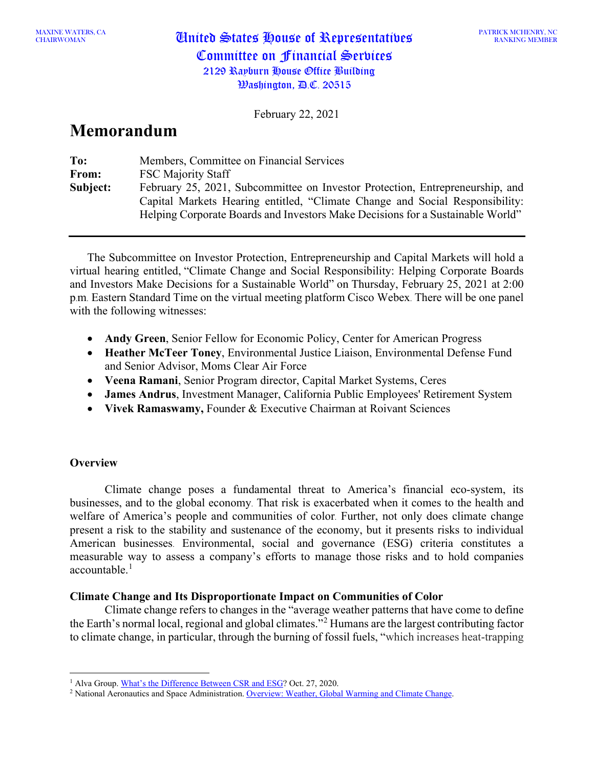February 22, 2021

# **Memorandum**

| To:      | Members, Committee on Financial Services                                       |
|----------|--------------------------------------------------------------------------------|
| From:    | <b>FSC Majority Staff</b>                                                      |
| Subject: | February 25, 2021, Subcommittee on Investor Protection, Entrepreneurship, and  |
|          | Capital Markets Hearing entitled, "Climate Change and Social Responsibility:   |
|          | Helping Corporate Boards and Investors Make Decisions for a Sustainable World" |

The Subcommittee on Investor Protection, Entrepreneurship and Capital Markets will hold a virtual hearing entitled, "Climate Change and Social Responsibility: Helping Corporate Boards and Investors Make Decisions for a Sustainable World" on Thursday, February 25, 2021 at 2:00 p.m. Eastern Standard Time on the virtual meeting platform Cisco Webex. There will be one panel with the following witnesses:

- **Andy Green**, Senior Fellow for Economic Policy, Center for American Progress
- **Heather McTeer Toney**, Environmental Justice Liaison, Environmental Defense Fund and Senior Advisor, Moms Clear Air Force
- **Veena Ramani**, Senior Program director, Capital Market Systems, Ceres
- **James Andrus**, Investment Manager, California Public Employees' Retirement System
- **Vivek Ramaswamy,** Founder & Executive Chairman at Roivant Sciences

## **Overview**

Climate change poses a fundamental threat to America's financial eco-system, its businesses, and to the global economy. That risk is exacerbated when it comes to the health and welfare of America's people and communities of color. Further, not only does climate change present a risk to the stability and sustenance of the economy, but it presents risks to individual American businesses. Environmental, social and governance (ESG) criteria constitutes a measurable way to assess a company's efforts to manage those risks and to hold companies accountable. [1](#page-0-0)

## **Climate Change and Its Disproportionate Impact on Communities of Color**

Climate change refers to changes in the "average weather patterns that have come to define the Earth's normal local, regional and global climates."[2](#page-0-1) Humans are the largest contributing factor to climate change, in particular, through the burning of fossil fuels, "which increases heat-trapping

<span id="page-0-1"></span><span id="page-0-0"></span><sup>&</sup>lt;sup>1</sup> Alva Group[. What's the Difference Between CSR and ESG?](https://www.alva-group.com/blog/whats-the-difference-between-csr-and-esg/) Oct. 27, 2020.<br><sup>2</sup> National Aeronautics and Space Administration. [Overview: Weather, Global Warming and Climate Change.](https://climate.nasa.gov/resources/global-warming-vs-climate-change)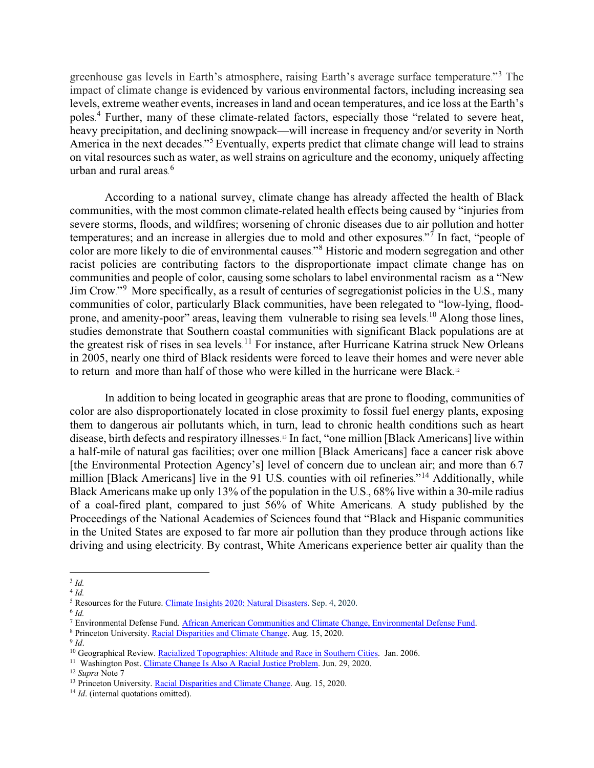greenhouse gas levels in Earth's atmosphere, raising Earth's average surface temperature."[3](#page-1-0) The impact of climate change is evidenced by various environmental factors, including increasing sea levels, extreme weather events, increases in land and ocean temperatures, and ice loss at the Earth's poles. [4](#page-1-1) Further, many of these climate-related factors, especially those "related to severe heat, heavy precipitation, and declining snowpack—will increase in frequency and/or severity in North America in the next decades."<sup>[5](#page-1-2)</sup> Eventually, experts predict that climate change will lead to strains on vital resources such as water, as well strains on agriculture and the economy, uniquely affecting urban and rural areas. [6](#page-1-3)

According to a national survey, climate change has already affected the health of Black communities, with the most common climate-related health effects being caused by "injuries from severe storms, floods, and wildfires; worsening of chronic diseases due to air pollution and hotter temperatures; and an increase in allergies due to mold and other exposures."[7](#page-1-4) In fact, "people of color are more likely to die of environmental causes."[8](#page-1-5) Historic and modern segregation and other racist policies are contributing factors to the disproportionate impact climate change has on communities and people of color, causing some scholars to label environmental racism as a "New Jim Crow."[9](#page-1-6) More specifically, as a result of centuries of segregationist policies in the U.S., many communities of color, particularly Black communities, have been relegated to "low-lying, flood-prone, and amenity-poor" areas, leaving them vulnerable to rising sea levels.<sup>[10](#page-1-7)</sup> Along those lines, studies demonstrate that Southern coastal communities with significant Black populations are at the greatest risk of rises in sea levels.<sup>[11](#page-1-8)</sup> For instance, after Hurricane Katrina struck New Orleans in 2005, nearly one third of Black residents were forced to leave their homes and were never able to return and more than half of those who were killed in the hurricane were Black.<sup>[12](#page-1-9)</sup>

In addition to being located in geographic areas that are prone to flooding, communities of color are also disproportionately located in close proximity to fossil fuel energy plants, exposing them to dangerous air pollutants which, in turn, lead to chronic health conditions such as heart disease, birth defects and respiratory illnesses. [13](#page-1-10) In fact, "one million [Black Americans] live within a half-mile of natural gas facilities; over one million [Black Americans] face a cancer risk above [the Environmental Protection Agency's] level of concern due to unclean air; and more than 6.7 million [Black Americans] live in the 91 U.S. counties with oil refineries."<sup>[14](#page-1-11)</sup> Additionally, while Black Americans make up only 13% of the population in the U.S., 68% live within a 30-mile radius of a coal-fired plant, compared to just 56% of White Americans. A study published by the Proceedings of the National Academies of Sciences found that "Black and Hispanic communities in the United States are exposed to far more air pollution than they produce through actions like driving and using electricity. By contrast, White Americans experience better air quality than the

<span id="page-1-5"></span><sup>8</sup> Princeton University[. Racial Disparities and Climate Change.](https://psci.princeton.edu/tips/2020/8/15/racial-disparities-and-climate-change) Aug. 15, 2020.

<sup>3</sup> *Id.*

<span id="page-1-1"></span><span id="page-1-0"></span><sup>4</sup> *Id.*

<sup>5</sup> Resources for the Future[. Climate Insights 2020: Natural Disasters.](https://www.rff.org/publications/reports/climateinsights2020-natural-disasters/?gclid=EAIaIQobChMIgLuqtczs7gIVmOCzCh1gJgd3EAAYASAAEgKcU_D_BwE) Sep. 4, 2020.

<span id="page-1-3"></span><span id="page-1-2"></span><sup>6</sup> *Id.*

<span id="page-1-4"></span><sup>7</sup> Environmental Defense Fund[. African American Communities and Climate Change, Environmental Defense Fund.](https://www.edf.org/sites/default/files/documents/African%20American%20Communities%20and%20Climate%20Change.pdf)

<span id="page-1-6"></span><sup>9</sup> *Id*.

<span id="page-1-7"></span><sup>&</sup>lt;sup>10</sup> Geographical Review. Racialized Topographies: [Altitude and Race in Southern Cities.](https://www.jstor.org/stable/30034004?seq=1) Jan. 2006.

<span id="page-1-8"></span><sup>&</sup>lt;sup>11</sup> Washington Post[. Climate Change Is Also A Racial Justice Problem.](https://www.washingtonpost.com/climate-solutions/2020/06/29/climate-change-racism/) Jun. 29, 2020.

<span id="page-1-9"></span><sup>12</sup> *Supra* Note 7

<span id="page-1-10"></span><sup>&</sup>lt;sup>13</sup> Princeton University[. Racial Disparities and Climate Change.](https://psci.princeton.edu/tips/2020/8/15/racial-disparities-and-climate-change) Aug. 15, 2020.

<span id="page-1-11"></span><sup>&</sup>lt;sup>14</sup> *Id.* (internal quotations omitted).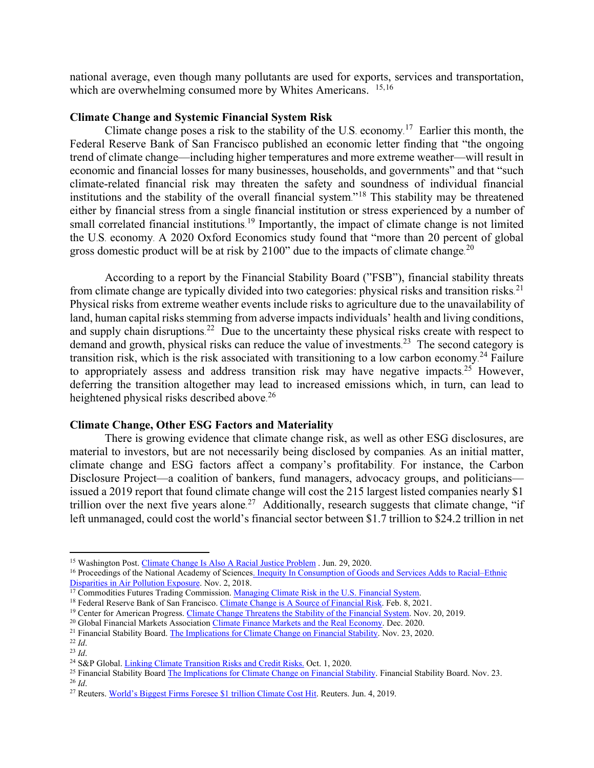national average, even though many pollutants are used for exports, services and transportation, which are overwhelming consumed more by Whites Americans. <sup>[15](#page-2-0),[16](#page-2-1)</sup>

## **Climate Change and Systemic Financial System Risk**

Climate change poses a risk to the stability of the U.S. economy.<sup>17</sup> Earlier this month, the Federal Reserve Bank of San Francisco published an economic letter finding that "the ongoing trend of climate change—including higher temperatures and more extreme weather—will result in economic and financial losses for many businesses, households, and governments" and that "such climate-related financial risk may threaten the safety and soundness of individual financial institutions and the stability of the overall financial system."[18](#page-2-3) This stability may be threatened either by financial stress from a single financial institution or stress experienced by a number of small correlated financial institutions.<sup>[19](#page-2-4)</sup> Importantly, the impact of climate change is not limited the U.S. economy. A 2020 Oxford Economics study found that "more than 20 percent of global gross domestic product will be at risk by 2100" due to the impacts of climate change.<sup>[20](#page-2-5)</sup>

According to a report by the Financial Stability Board ("FSB"), financial stability threats from climate change are typically divided into two categories: physical risks and transition risks.<sup>[21](#page-2-6)</sup> Physical risks from extreme weather events include risks to agriculture due to the unavailability of land, human capital risks stemming from adverse impacts individuals' health and living conditions, and supply chain disruptions.<sup>[22](#page-2-7)</sup> Due to the uncertainty these physical risks create with respect to demand and growth, physical risks can reduce the value of investments.<sup>[23](#page-2-8)</sup> The second category is transition risk, which is the risk associated with transitioning to a low carbon economy.<sup>[24](#page-2-9)</sup> Failure to appropriately assess and address transition risk may have negative impacts.<sup>[25](#page-2-10)</sup> However, deferring the transition altogether may lead to increased emissions which, in turn, can lead to heightened physical risks described above. [26](#page-2-11)

#### **Climate Change, Other ESG Factors and Materiality**

There is growing evidence that climate change risk, as well as other ESG disclosures, are material to investors, but are not necessarily being disclosed by companies. As an initial matter, climate change and ESG factors affect a company's profitability. For instance, the Carbon Disclosure Project—a coalition of bankers, fund managers, advocacy groups, and politicians issued a 2019 report that found climate change will cost the 215 largest listed companies nearly \$1 trillion over the next five years alone.<sup>[27](#page-2-12)</sup> Additionally, research suggests that climate change, "if left unmanaged, could cost the world's financial sector between \$1.7 trillion to \$24.2 trillion in net

<span id="page-2-4"></span><sup>19</sup> Center for American Progress. [Climate Change Threatens the Stability of the Financial System.](https://www.americanprogress.org/issues/economy/reports/2019/11/21/477190/climate-change-threatens-stability-financial-system/#:%7E:text=The%20increase%20in%20frequency%20and,different%20affected%20industries%20and%20assets) Nov. 20, 2019.

<span id="page-2-1"></span><span id="page-2-0"></span><sup>&</sup>lt;sup>15</sup> Washington Post. Climate Change Is Also A Racial Justice Problem . Jun. 29, 2020.<br><sup>16</sup> Proceedings of the National Academy of Sciences<u>. Inequity In Consumption</u> of Goods and Services Adds to Racial–Ethnic [Disparities in Air Pollution Exposure.](https://www.pnas.org/content/pnas/116/13/6001.full.pdf) Nov. 2, 2018.<br><sup>17</sup> Commodities Futures Trading Commission. Managing Climate Risk in the U.S. Financial System.

<span id="page-2-2"></span>

<span id="page-2-3"></span><sup>&</sup>lt;sup>18</sup> Federal Reserve Bank of San Francisco. [Climate Change is A Source of Financial Risk.](https://www.frbsf.org/economic-research/publications/economic-letter/2021/february/climate-change-is-source-of-financial-risk/) Feb. 8, 2021.

<span id="page-2-5"></span><sup>&</sup>lt;sup>20</sup> Global Financial Markets Association *Climate Finance Markets and the Real Economy*. Dec. 2020.

<span id="page-2-6"></span><sup>&</sup>lt;sup>21</sup> Financial Stability Board. [The Implications for Climate Change on Financial Stability.](https://www.fsb.org/wp-content/uploads/P231120.pdf) Nov. 23, 2020.

<span id="page-2-7"></span><sup>22</sup> *Id*. <sup>23</sup> *Id*.

<span id="page-2-9"></span><span id="page-2-8"></span><sup>&</sup>lt;sup>24</sup> S&P Global. *Linking Climate Transition Risks and Credit Risks*. Oct. 1, 2020.

<span id="page-2-10"></span><sup>25</sup> Financial Stability Board [The Implications for Climate Change on Financial Stability.](https://www.fsb.org/wp-content/uploads/P231120.pdf) Financial Stability Board. Nov. 23. 26 *Id*.

<span id="page-2-12"></span><span id="page-2-11"></span><sup>27</sup> Reuters[. World's Biggest Firms Foresee \\$1 trillion Climate Cost Hit.](https://www.reuters.com/article/us-climate-change-companies-disclosure/worlds-biggest-firms-foresee-1-trillion-climate-cost-hit-idUSKCN1T50Cf) Reuters. Jun. 4, 2019.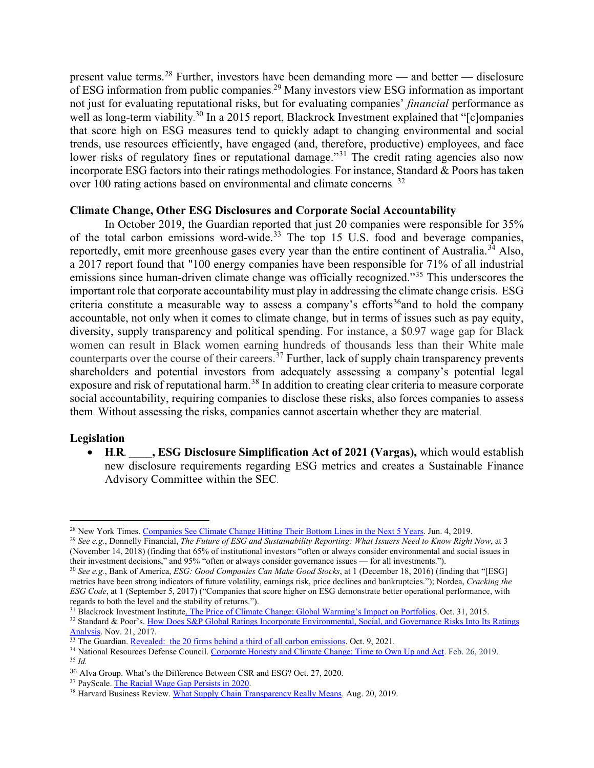present value terms.[28](#page-3-0) Further, investors have been demanding more — and better — disclosure of ESG information from public companies.<sup>[29](#page-3-1)</sup> Many investors view ESG information as important not just for evaluating reputational risks, but for evaluating companies' *financial* performance as well as long-term viability.<sup>[30](#page-3-2)</sup> In a 2015 report, Blackrock Investment explained that "[c]ompanies that score high on ESG measures tend to quickly adapt to changing environmental and social trends, use resources efficiently, have engaged (and, therefore, productive) employees, and face lower risks of regulatory fines or reputational damage."<sup>[31](#page-3-3)</sup> The credit rating agencies also now incorporate ESG factors into their ratings methodologies. For instance, Standard & Poors has taken over 100 rating actions based on environmental and climate concerns. [32](#page-3-4)

#### **Climate Change, Other ESG Disclosures and Corporate Social Accountability**

In October 2019, the Guardian reported that just 20 companies were responsible for 35% of the total carbon emissions word-wide.<sup>[33](#page-3-5)</sup> The top 15 U.S. food and beverage companies, reportedly, emit more greenhouse gases every year than the entire continent of Australia.<sup>[34](#page-3-6)</sup> Also, a 2017 report found that "100 energy companies have been responsible for 71% of all industrial emissions since human-driven climate change was officially recognized."<sup>[35](#page-3-7)</sup> This underscores the important role that corporate accountability must play in addressing the climate change crisis. ESG criteria constitute a measurable way to assess a company's efforts<sup>36</sup> and to hold the company accountable, not only when it comes to climate change, but in terms of issues such as pay equity, diversity, supply transparency and political spending. For instance, a \$0.97 wage gap for Black women can result in Black women earning hundreds of thousands less than their White male counterparts over the course of their careers.<sup>[37](#page-3-9)</sup> Further, lack of supply chain transparency prevents shareholders and potential investors from adequately assessing a company's potential legal exposure and risk of reputational harm.<sup>[38](#page-3-10)</sup> In addition to creating clear criteria to measure corporate social accountability, requiring companies to disclose these risks, also forces companies to assess them. Without assessing the risks, companies cannot ascertain whether they are material.

## **Legislation**

• **H.R. \_\_\_\_, ESG Disclosure Simplification Act of 2021 (Vargas),** which would establish new disclosure requirements regarding ESG metrics and creates a Sustainable Finance Advisory Committee within the SEC.

<span id="page-3-9"></span><sup>37</sup> PayScale[. The Racial Wage Gap Persists in 2020.](https://www.payscale.com/data/racial-wage-gap)

<span id="page-3-0"></span><sup>&</sup>lt;sup>28</sup> New York Times. [Companies See Climate Change Hitting Their Bottom Lines in the Next 5 Years.](https://www.nytimes.com/2019/06/04/climate/companies-climate-change-financial-impact.html) Jun. 4, 2019.

<span id="page-3-1"></span><sup>29</sup> *See e.g.*, Donnelly Financial, *The Future of ESG and Sustainability Reporting: What Issuers Need to Know Right Now*, at 3 (November 14, 2018) (finding that 65% of institutional investors "often or always consider environmental and social issues in their investment decisions," and 95% "often or always consider governance issues — for all investments.").

<span id="page-3-2"></span><sup>30</sup> *See e.g.*, Bank of America, *ESG: Good Companies Can Make Good Stocks*, at 1 (December 18, 2016) (finding that "[ESG] metrics have been strong indicators of future volatility, earnings risk, price declines and bankruptcies."); Nordea, *Cracking the ESG Code*, at 1 (September 5, 2017) ("Companies that score higher on ESG demonstrate better operational performance, with regards to both the level and the stability of returns.").

<span id="page-3-3"></span><sup>&</sup>lt;sup>31</sup> Blackrock Investment Institute<u>. [The Price of Climate Change: Global Warming's Impact on Portfolios.](https://www.blackrock.com/corporate/compliance/insights-terms-and-conditions?targetUrl=%2Fcorporate%2Fliterature%2Fwhitepaper%2Fbii-pricing-climate-risk-international.pdf) Oct. 31, 2015.</u>

<span id="page-3-4"></span><sup>&</sup>lt;sup>32</sup> Standard & Poor's. How Does S&P Global Ratings Incorporate Environmental, Social, and Governance Risks Into Its Ratings [Analysis.](https://www.spratings.com/documents/20184/1634005/How+does+sandp+incorporate+ESG+Risks+into+its+ratings/6a0a08e2-d0b2-443b-bb1a-e54b354ac6a5) Nov. 21, 2017.

 $\overline{33}$  The Guardian[. Revealed: the 20 firms behind a third of all carbon emissions.](https://www.theguardian.com/environment/2019/oct/09/revealed-20-firms-third-carbon-emissions) Oct. 9, 2021.

<span id="page-3-7"></span><span id="page-3-6"></span><span id="page-3-5"></span><sup>&</sup>lt;sup>34</sup> National Resources Defense Council[. Corporate Honesty and Climate Change: Time to Own Up and Act.](https://www.nrdc.org/experts/josh-axelrod/corporate-honesty-and-climate-change-time-own-and-act) Feb. 26, 2019. <sup>35</sup> *Id.* 

<span id="page-3-8"></span><sup>36</sup> Alva Group. [What's the Difference Between CSR and ESG?](https://www.alva-group.com/blog/whats-the-difference-between-csr-and-esg/) Oct. 27, 2020.

<span id="page-3-10"></span><sup>&</sup>lt;sup>38</sup> Harvard Business Review[. What Supply Chain Transparency Really Means.](https://hbr.org/2019/08/what-supply-chain-transparency-really-means) Aug. 20, 2019.